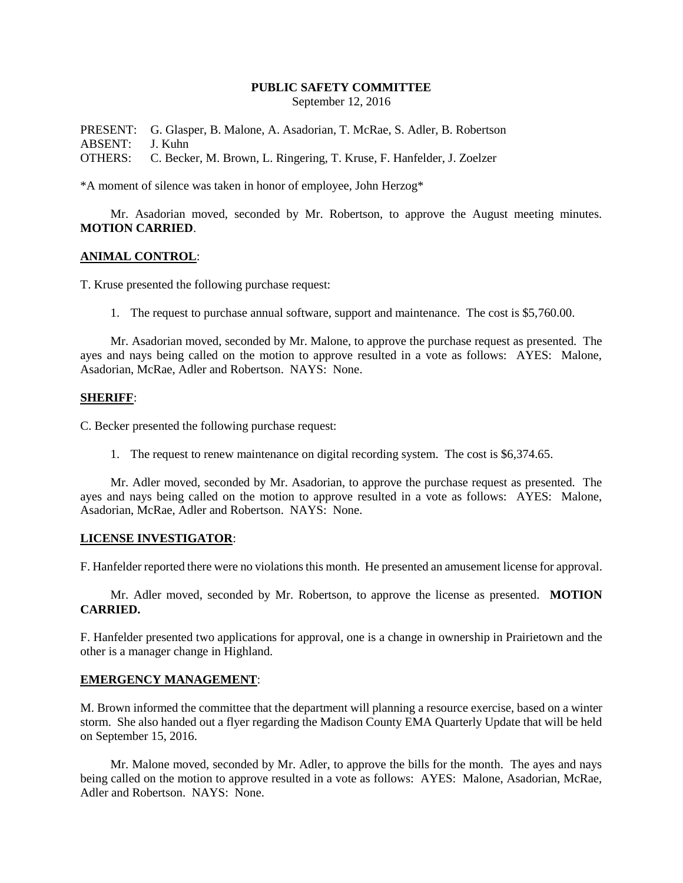## **PUBLIC SAFETY COMMITTEE**

September 12, 2016

PRESENT: G. Glasper, B. Malone, A. Asadorian, T. McRae, S. Adler, B. Robertson ABSENT: J. Kuhn OTHERS: C. Becker, M. Brown, L. Ringering, T. Kruse, F. Hanfelder, J. Zoelzer

\*A moment of silence was taken in honor of employee, John Herzog\*

Mr. Asadorian moved, seconded by Mr. Robertson, to approve the August meeting minutes. **MOTION CARRIED**.

## **ANIMAL CONTROL**:

T. Kruse presented the following purchase request:

1. The request to purchase annual software, support and maintenance. The cost is \$5,760.00.

Mr. Asadorian moved, seconded by Mr. Malone, to approve the purchase request as presented. The ayes and nays being called on the motion to approve resulted in a vote as follows: AYES: Malone, Asadorian, McRae, Adler and Robertson. NAYS: None.

## **SHERIFF**:

C. Becker presented the following purchase request:

1. The request to renew maintenance on digital recording system. The cost is \$6,374.65.

Mr. Adler moved, seconded by Mr. Asadorian, to approve the purchase request as presented. The ayes and nays being called on the motion to approve resulted in a vote as follows: AYES: Malone, Asadorian, McRae, Adler and Robertson. NAYS: None.

## **LICENSE INVESTIGATOR**:

F. Hanfelder reported there were no violations this month. He presented an amusement license for approval.

Mr. Adler moved, seconded by Mr. Robertson, to approve the license as presented. **MOTION CARRIED.**

F. Hanfelder presented two applications for approval, one is a change in ownership in Prairietown and the other is a manager change in Highland.

## **EMERGENCY MANAGEMENT**:

M. Brown informed the committee that the department will planning a resource exercise, based on a winter storm. She also handed out a flyer regarding the Madison County EMA Quarterly Update that will be held on September 15, 2016.

Mr. Malone moved, seconded by Mr. Adler, to approve the bills for the month. The ayes and nays being called on the motion to approve resulted in a vote as follows: AYES: Malone, Asadorian, McRae, Adler and Robertson. NAYS: None.